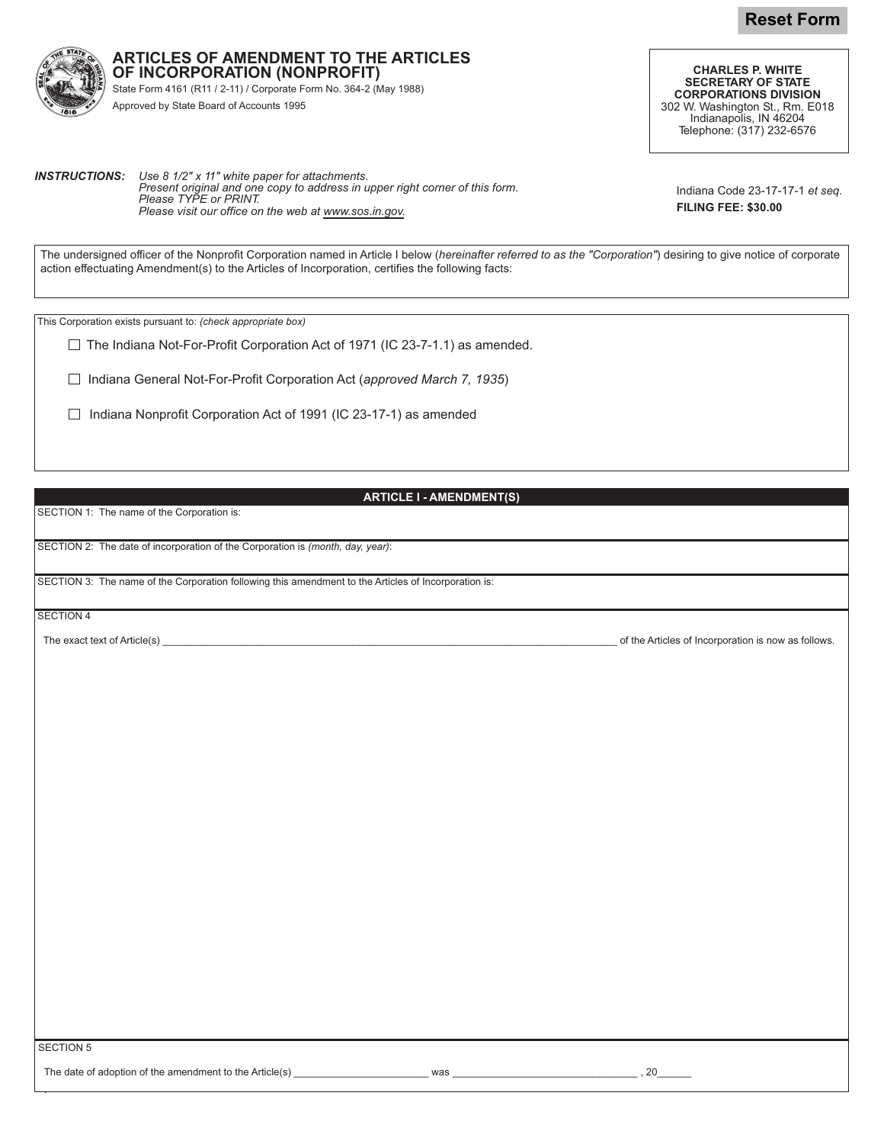**Reset Form**



**ARTICLES OF AMENDMENT TO THE ARTICLES OF INCORPORATION (NONPROFIT)** State Form 4161 (R11 / 2-11) / Corporate Form No. 364-2 (May 1988)

Approved by State Board of Accounts 1995

**CHARLES P. WHITE SECRETARY OF STATE CORPORATIONS DIVISION** 302 W. Washington St., Rm. E018 Indianapolis, IN 46204 Telephone: (317) 232-6576

**INSTRUCTIONS:** Use 8 1/2" x 11" white paper for attachments. *!--"#- 
-\$

-" - Please TYPE or PRINT. Please visit our office on the web at <u>www.sos.in.gov</u>.* 

Indiana Code 23-17-17-1 et seq. **FILING FEE: \$30.00** 

The undersigned officer of the Nonprofit Corporation named in Article I below (*hereinafter referred to as the "Corporation"*) desiring to give notice of corporate action effectuating Amendment(s) to the Articles of Incorporation, certifies the following facts:

This Corporation exists pursuant to: (check appropriate box)

The Indiana Not-For-Profit Corporation Act of 1971 (IC 23-7-1.1) as amended.

Indiana General Not-For-Profit Corporation Act (approved March 7, 1935)

Indiana Nonprofit Corporation Act of 1991 (IC 23-17-1) as amended

## **ARTICLE I - AMENDMENT(S)**

SECTION 1: The name of the Corporation is:

SECTION 2: The date of incorporation of the Corporation is (month, day, year):

SECTION 3: The name of the Corporation following this amendment to the Articles of Incorporation is:

SECTION 4

The exact text of Article

)444444444444444444444444444444444444444444444444444444444444444444444444444444444 &, Articles of Incorporation is now as follows.

SECTION 5

Ļ